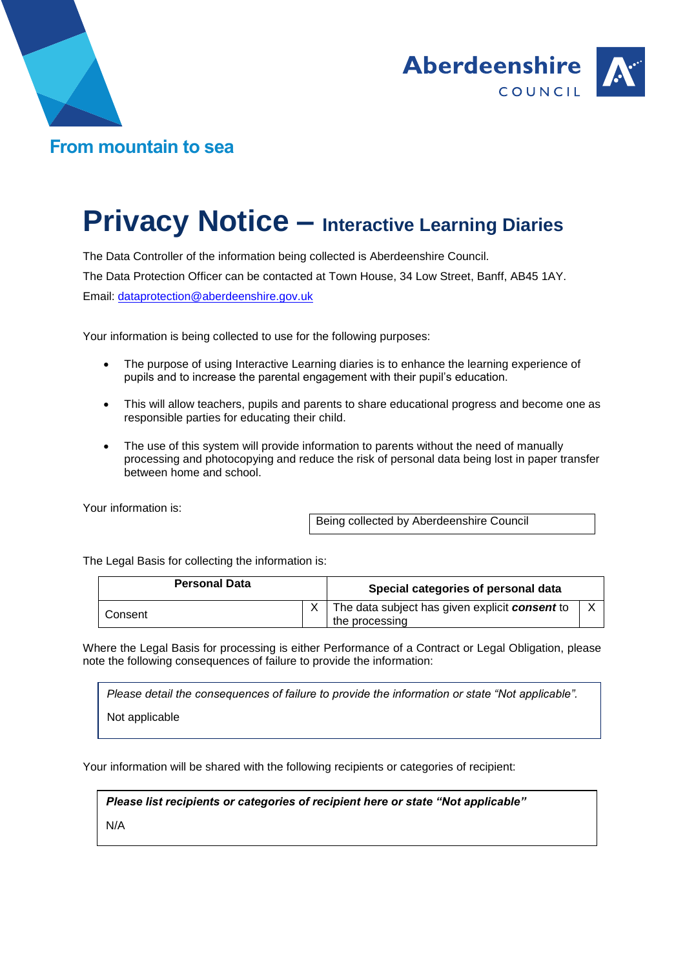



## **Privacy Notice – Interactive Learning Diaries**

The Data Controller of the information being collected is Aberdeenshire Council. The Data Protection Officer can be contacted at Town House, 34 Low Street, Banff, AB45 1AY. Email: [dataprotection@aberdeenshire.gov.uk](mailto:dataprotection@aberdeenshire.gov.uk)

Your information is being collected to use for the following purposes:

- The purpose of using Interactive Learning diaries is to enhance the learning experience of pupils and to increase the parental engagement with their pupil's education.
- This will allow teachers, pupils and parents to share educational progress and become one as responsible parties for educating their child.
- The use of this system will provide information to parents without the need of manually processing and photocopying and reduce the risk of personal data being lost in paper transfer between home and school.

Your information is:

Being collected by Aberdeenshire Council

The Legal Basis for collecting the information is:

| <b>Personal Data</b> | Special categories of personal data                              |  |
|----------------------|------------------------------------------------------------------|--|
| Consent              | The data subject has given explicit consent to<br>the processing |  |

Where the Legal Basis for processing is either Performance of a Contract or Legal Obligation, please note the following consequences of failure to provide the information:

*Please detail the consequences of failure to provide the information or state "Not applicable".*

Not applicable

Your information will be shared with the following recipients or categories of recipient:

*Please list recipients or categories of recipient here or state "Not applicable"*

N/A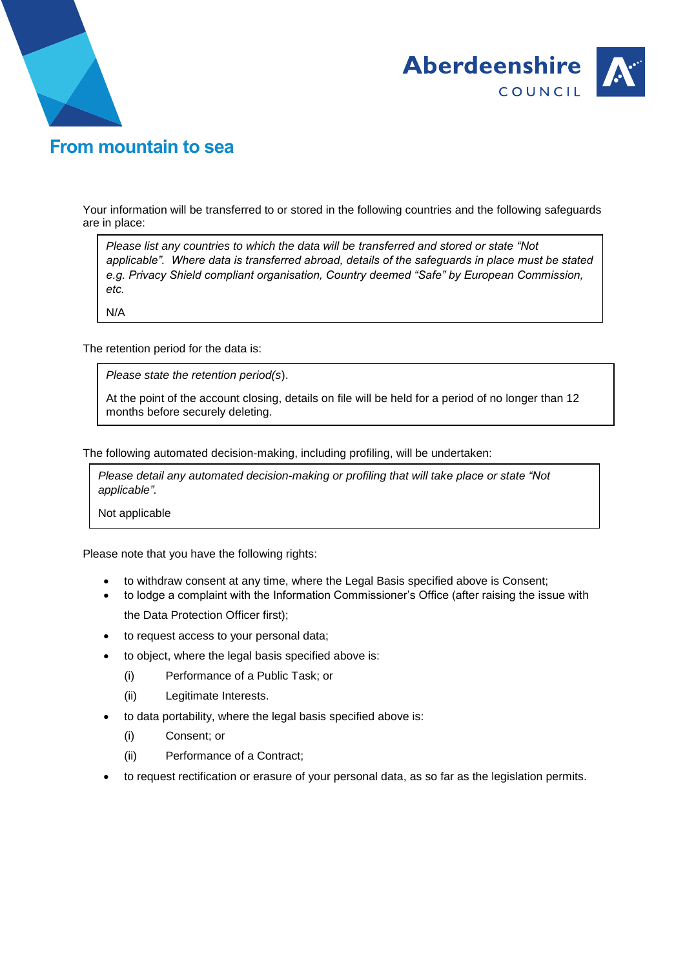



## **From mountain to sea**

Your information will be transferred to or stored in the following countries and the following safeguards are in place:

*Please list any countries to which the data will be transferred and stored or state "Not applicable". Where data is transferred abroad, details of the safeguards in place must be stated e.g. Privacy Shield compliant organisation, Country deemed "Safe" by European Commission, etc.*

N/A

The retention period for the data is:

*Please state the retention period(s*).

At the point of the account closing, details on file will be held for a period of no longer than 12 months before securely deleting.

The following automated decision-making, including profiling, will be undertaken:

*Please detail any automated decision-making or profiling that will take place or state "Not applicable".*

Not applicable

Please note that you have the following rights:

- to withdraw consent at any time, where the Legal Basis specified above is Consent;
- to lodge a complaint with the Information Commissioner's Office (after raising the issue with the Data Protection Officer first);
- to request access to your personal data;
- to object, where the legal basis specified above is:
	- (i) Performance of a Public Task; or
	- (ii) Legitimate Interests.
- to data portability, where the legal basis specified above is:
	- (i) Consent; or
	- (ii) Performance of a Contract;
- to request rectification or erasure of your personal data, as so far as the legislation permits.